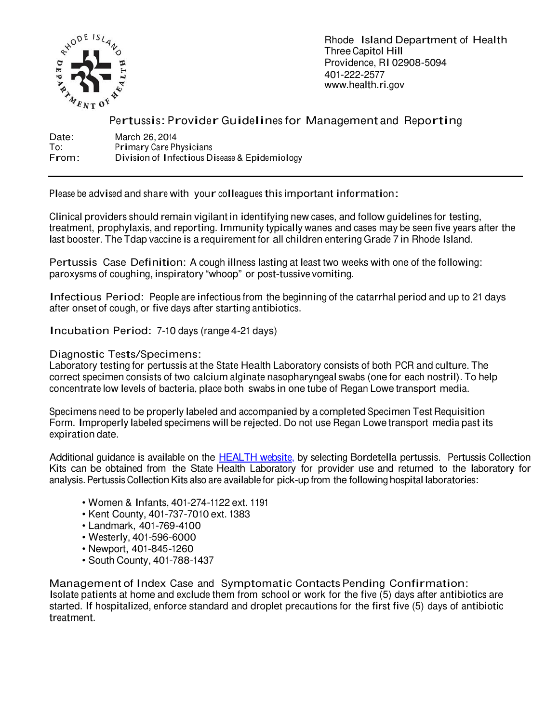

Rhode Island Department of Health Three Capitol Hill Providence, RI 02908-5094 401-222-2577 www.health.ri.gov

# Pertussis: Provider Guidelines for Management and Reporting

Date: March 26, 2014<br>To: Primary Care Ph To: Primary Care Physicians<br>From: Division of Infectious Di Division of Infectious Disease & Epidemiology

Please be advised and share with your colleagues this important information:

Clinical providers should remain vigilant in identifying new cases, and follow guidelines for testing, treatment, prophylaxis, and reporting. Immunity typically wanes and cases may be seen five years after the last booster. The Tdap vaccine is a requirement for all children entering Grade 7 in Rhode Island.

Pertussis Case Definition: A cough illness lasting at least two weeks with one of the following: paroxysms of coughing, inspiratory "whoop" or post-tussive vomiting.

Infectious Period: People are infectious from the beginning of the catarrhal period and up to 21 days after onset of cough, or five days after starting antibiotics.

Incubation Period: 7-10 days (range 4-21 days)

Diagnostic Tests/Specimens:

Laboratory testing for pertussis at the State Health Laboratory consists of both PCR and culture. The correct specimen consists of two calcium alginate nasopharyngeal swabs (one for each nostril). To help concentrate low levels of bacteria, place both swabs in one tube of Regan Lowe transport media.

Specimens need to be properly labeled and accompanied by a completed Specimen Test Requisition Form. Improperly labeled specimens will be rejected. Do not use Regan Lowe transport media past its expiration date.

Additional guidance is available on the HEALTH website, by selecting Bordetella pertussis. Pertussis Collection Kits can be obtained from the State Health Laboratory for provider use and returned to the laboratory for analysis. Pertussis Collection Kits also are available for pick-up from the following hospital laboratories:

- Women & Infants, 401-274-1122 ext. 1191
- Kent County, 401-737-7010 ext. 1383
- Landmark, 401-769-4100
- Westerly, 401-596-6000
- Newport, 401-845-1260
- South County, 401-788-1437

Management of Index Case and Symptomatic Contacts Pending Confirmation: Isolate patients at home and exclude them from school or work for the five (5) days after antibiotics are started. If hospitalized, enforce standard and droplet precautions for the first five (5) days of antibiotic treatment.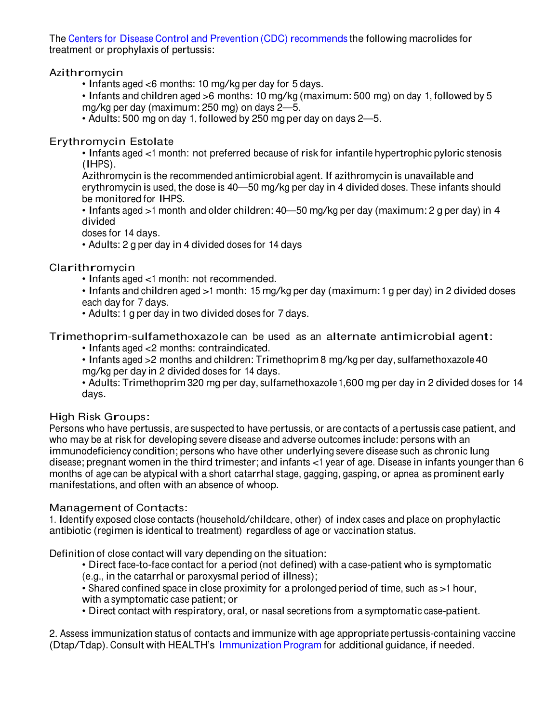The Centers for Disease Control and Prevention (CDC) recommends the following macrolides for treatment or prophylaxis of pertussis:

# Azithromycin

• Infants aged <6 months: 10 mg/kg per day for 5 days.

• Infants and children aged >6 months: 10 mg/kg (maximum: 500 mg) on day 1, followed by 5 mg/kg per day (maximum: 250 mg) on days 2—5.

• Adults: 500 mg on day 1, followed by 250 mg per day on days 2—5.

### Erythromycin Estolate

• Infants aged <1 month: not preferred because of risk for infantile hypertrophic pyloric stenosis (IHPS).

Azithromycin is the recommended antimicrobial agent. If azithromycin is unavailable and erythromycin is used, the dose is 40—50 mg/kg per day in 4 divided doses. These infants should be monitored for IHPS.

• Infants aged >1 month and older children: 40—50 mg/kg per day (maximum: 2 g per day) in 4 divided

doses for 14 days.

• Adults: 2 g per day in 4 divided doses for 14 days

Clarithromycin

• Infants aged <1 month: not recommended.

• Infants and children aged >1 month: 15 mg/kg per day (maximum: 1 g per day) in 2 divided doses each day for 7 days.

• Adults: 1 g per day in two divided doses for 7 days.

Trimethoprim-sulfamethoxazole can be used as an alternate antimicrobial agent:

• Infants aged <2 months: contraindicated.

• Infants aged >2 months and children: Trimethoprim 8 mg/kg per day, sulfamethoxazole <sup>40</sup> mg/kg per day in 2 divided doses for 14 days.

• Adults: Trimethoprim 320 mg per day, sulfamethoxazole 1,600 mg per day in 2 divided doses for 14 days.

#### High Risk Groups:

Persons who have pertussis, are suspected to have pertussis, or are contacts of a pertussis case patient, and who may be at risk for developing severe disease and adverse outcomes include: persons with an immunodeficiency condition; persons who have other underlying severe disease such as chronic lung disease; pregnant women in the third trimester; and infants <1 year of age. Disease in infants younger than 6 months of age can be atypical with a short catarrhal stage, gagging, gasping, or apnea as prominent early manifestations, and often with an absence of whoop.

# Management of Contacts:

1. Identify exposed close contacts (household/childcare, other) of index cases and place on prophylactic antibiotic (regimen is identical to treatment) regardless of age or vaccination status.

Definition of close contact will vary depending on the situation:

• Direct face-to-face contact for a period (not defined) with a case-patient who is symptomatic (e.g., in the catarrhal or paroxysmal period of illness);

- Shared confined space in close proximity for a prolonged period of time, such as >1 hour,
- with a symptomatic case patient; or
- Direct contact with respiratory, oral, or nasal secretions from a symptomatic case-patient.

2. Assess immunization status of contacts and immunize with age appropriate pertussis-containing vaccine (Dtap/Tdap). Consult with HEALTH's Immunization Program for additional guidance, if needed.